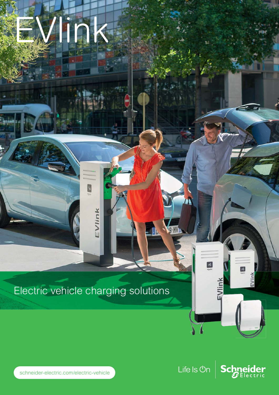# Electric vehicle charging solutions

EVlink

ink



Life Is  $On \mid$  Schneider

 $\mathbf{a}$ 

EVlink

n